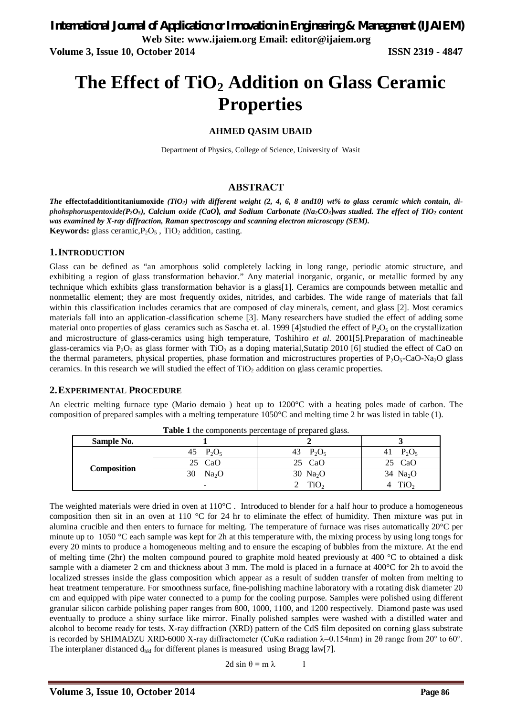**Volume 3, Issue 10, October 2014 ISSN 2319 - 4847**

# **The Effect of TiO<sup>2</sup> Addition on Glass Ceramic Properties**

### **AHMED QASIM UBAID**

Department of Physics, College of Science, University of Wasit

### **ABSTRACT**

*The* **effectofadditiontitaniumoxide** *(TiO2) with different weight (2, 4, 6, 8 and10) wt% to glass ceramic which contain, diphohsphoruspentoxide(P2O5), Calcium oxide (CaO), and Sodium Carbonate (Na2CO3)was studied. The effect of TiO<sup>2</sup> content was examined by X-ray diffraction, Raman spectroscopy and scanning electron microscopy (SEM).* **Keywords:** glass ceramic, $P_2O_5$ , TiO<sub>2</sub> addition, casting.

### **1.INTRODUCTION**

Glass can be defined as "an amorphous solid completely lacking in long range, periodic atomic structure, and exhibiting a region of glass transformation behavior." Any material inorganic, organic, or metallic formed by any technique which exhibits glass transformation behavior is a glass[1]. Ceramics are compounds between metallic and nonmetallic element; they are most frequently oxides, nitrides, and carbides. The wide range of materials that fall within this classification includes ceramics that are composed of clay minerals, cement, and glass [2]. Most ceramics materials fall into an application-classification scheme [3]. Many researchers have studied the effect of adding some material onto properties of glass ceramics such as Sascha et. al. 1999 [4]studied the effect of  $P_2O_5$  on the crystallization and microstructure of glass-ceramics using high temperature, Toshihiro *et al.* 2001[5].Preparation of machineable glass-ceramics via  $P_2O_5$  as glass former with TiO<sub>2</sub> as a doping material, Sutatip 2010 [6] studied the effect of CaO on the thermal parameters, physical properties, phase formation and microstructures properties of  $P_2O_5-CaO-Na_2O$  glass ceramics. In this research we will studied the effect of  $TiO<sub>2</sub>$  addition on glass ceramic properties.

### **2.EXPERIMENTAL PROCEDURE**

An electric melting furnace type (Mario demaio ) heat up to 1200°C with a heating poles made of carbon. The composition of prepared samples with a melting temperature 1050°C and melting time 2 hr was listed in table (1).

| Sample No.  |                          |                |                  |
|-------------|--------------------------|----------------|------------------|
| Composition | $P_2O_5$<br>45           | $P_2O_5$<br>43 | $P_2O_5$<br>41   |
|             | CaO<br>25                | CaO            | CaO              |
|             | Na <sub>2</sub> O        | 30 $Na2O$      | 34 $Na2O$        |
|             | $\overline{\phantom{0}}$ |                | 110 <sup>2</sup> |

**Table 1** the components percentage of prepared glass.

The weighted materials were dried in oven at 110°C. Introduced to blender for a half hour to produce a homogeneous composition then sit in an oven at 110 °C for 24 hr to eliminate the effect of humidity. Then mixture was put in alumina crucible and then enters to furnace for melting. The temperature of furnace was rises automatically 20°C per minute up to 1050 °C each sample was kept for 2h at this temperature with, the mixing process by using long tongs for every 20 mints to produce a homogeneous melting and to ensure the escaping of bubbles from the mixture. At the end of melting time (2hr) the molten compound poured to graphite mold heated previously at 400  $^{\circ}$ C to obtained a disk sample with a diameter 2 cm and thickness about 3 mm. The mold is placed in a furnace at 400 °C for 2h to avoid the localized stresses inside the glass composition which appear as a result of sudden transfer of molten from melting to heat treatment temperature. For smoothness surface, fine-polishing machine laboratory with a rotating disk diameter 20 cm and equipped with pipe water connected to a pump for the cooling purpose. Samples were polished using different granular silicon carbide polishing paper ranges from 800, 1000, 1100, and 1200 respectively. Diamond paste was used eventually to produce a shiny surface like mirror. Finally polished samples were washed with a distilled water and alcohol to become ready for tests. X-ray diffraction (XRD) pattern of the CdS film deposited on corning glass substrate is recorded by SHIMADZU XRD-6000 X-ray diffractometer (CuKα radiation λ=0.154nm) in 2θ range from 20° to 60°. The interplaner distanced  $d_{hkl}$  for different planes is measured using Bragg law[7].

2d sin  $\theta = m \lambda$  1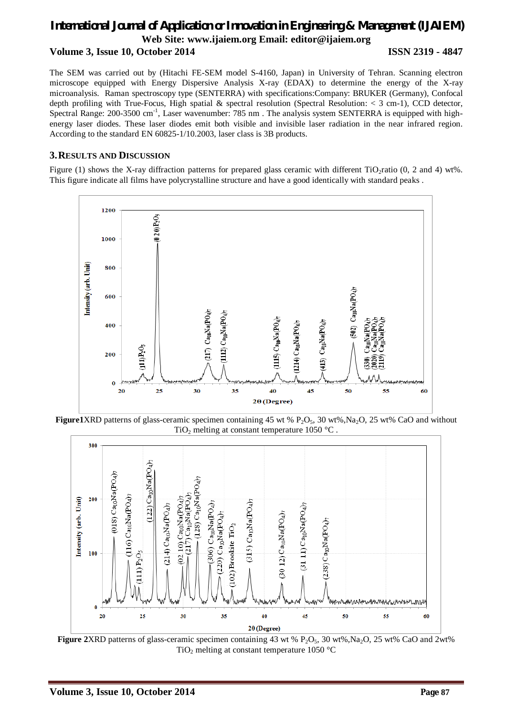## *International Journal of Application or Innovation in Engineering & Management (IJAIEM)* **Web Site: www.ijaiem.org Email: editor@ijaiem.org Volume 3, Issue 10, October 2014 ISSN 2319 - 4847**

The SEM was carried out by (Hitachi FE-SEM model S-4160, Japan) in University of Tehran. Scanning electron microscope equipped with Energy Dispersive Analysis X-ray (EDAX) to determine the energy of the X-ray microanalysis. Raman spectroscopy type (SENTERRA) with specifications:Company: BRUKER (Germany), Confocal depth profiling with True-Focus, High spatial & spectral resolution (Spectral Resolution: < 3 cm-1), CCD detector, Spectral Range: 200-3500 cm<sup>-1</sup>, Laser wavenumber: 785 nm. The analysis system SENTERRA is equipped with highenergy laser diodes. These laser diodes emit both visible and invisible laser radiation in the near infrared region. According to the standard EN 60825-1/10.2003, laser class is 3B products.

### **3.RESULTS AND DISCUSSION**

Figure (1) shows the X-ray diffraction patterns for prepared glass ceramic with different  $TiO<sub>2</sub>$ ratio (0, 2 and 4) wt%. This figure indicate all films have polycrystalline structure and have a good identically with standard peaks .



**Figure1XRD** patterns of glass-ceramic specimen containing 45 wt %  $P_2O_5$ , 30 wt%,Na<sub>2</sub>O, 25 wt% CaO and without TiO<sub>2</sub> melting at constant temperature 1050 °C.



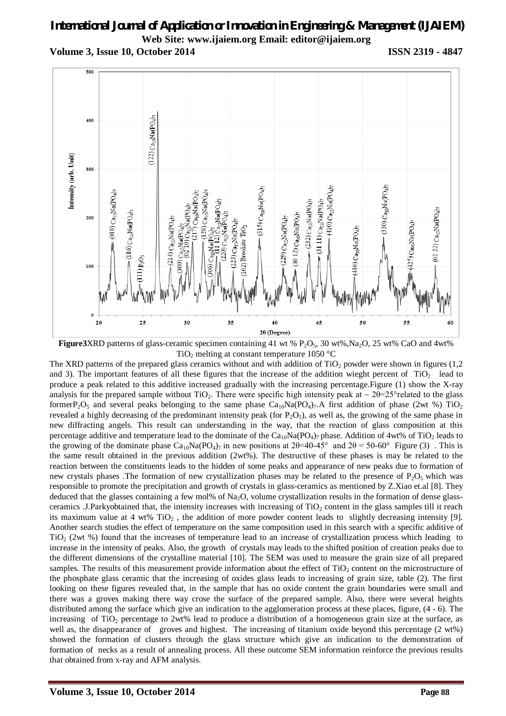# *International Journal of Application or Innovation in Engineering & Management (IJAIEM)* **Web Site: www.ijaiem.org Email: editor@ijaiem.org**

**Volume 3, Issue 10, October 2014 ISSN 2319 - 4847**



**Figure3XRD** patterns of glass-ceramic specimen containing 41 wt %  $P_2O_5$ , 30 wt%,Na<sub>2</sub>O, 25 wt% CaO and 4wt% TiO<sub>2</sub> melting at constant temperature 1050  $^{\circ}$ C

The XRD patterns of the prepared glass ceramics without and with addition of  $TiO<sub>2</sub>$  powder were shown in figures (1,2) and 3). The important features of all these figures that the increase of the addition wieght percent of  $TiO<sub>2</sub>$  lead to produce a peak related to this additive increased gradually with the increasing percentage.Figure (1) show the X-ray analysis for the prepared sample without TiO<sub>2</sub>. There were specific high intensity peak at  $\sim 2\theta = 25^{\circ}$ related to the glass formerP<sub>2</sub>O<sub>5</sub> and several peaks belonging to the same phase  $Ca_{10}Na(PO_4)_7.A$  first addition of phase (2wt %) TiO<sub>2</sub> revealed a highly decreasing of the predominant intensity peak (for  $P_2O_5$ ), as well as, the growing of the same phase in new diffracting angels. This result can understanding in the way, that the reaction of glass composition at this percentage additive and temperature lead to the dominate of the  $Ca_{10}Na(PO_4)_7$  phase. Addition of 4wt% of TiO<sub>2</sub> leads to the growing of the dominate phase  $Ca_{10}Na(PO_4)_{7}$  in new positions at  $2\theta=40-45^{\circ}$  and  $2\theta=50-60^{\circ}$  Figure (3). This is the same result obtained in the previous addition (2wt%). The destructive of these phases is may be related to the reaction between the constituents leads to the hidden of some peaks and appearance of new peaks due to formation of new crystals phases .The formation of new crystallization phases may be related to the presence of  $P_2O_5$  which was responsible to promote the precipitation and growth of crystals in glass-ceramics as mentioned by Z.Xiao et.al [8]. They deduced that the glasses containing a few mol% of Na<sub>2</sub>O, volume crystallization results in the formation of dense glassceramics .J.Parkyobtained that, the intensity increases with increasing of  $TiO<sub>2</sub>$  content in the glass samples till it reach its maximum value at 4 wt%  $TiO<sub>2</sub>$ , the addition of more powder content leads to slightly decreasing intensity [9]. Another search studies the effect of temperature on the same composition used in this search with a specific additive of TiO<sub>2</sub> (2wt %) found that the increases of temperature lead to an increase of crystallization process which leading to increase in the intensity of peaks. Also, the growth of crystals may leads to the shifted position of creation peaks due to the different dimensions of the crystalline material [10]. The SEM was used to measure the grain size of all prepared samples. The results of this measurement provide information about the effect of TiO<sub>2</sub> content on the microstructure of the phosphate glass ceramic that the increasing of oxides glass leads to increasing of grain size, table (2). The first looking on these figures revealed that, in the sample that has no oxide content the grain boundaries were small and there was a groves making there way crose the surface of the prepared sample. Also, there were several heights distributed among the surface which give an indication to the agglomeration process at these places, figure, (4 - 6). The increasing of TiO<sub>2</sub> percentage to 2wt% lead to produce a distribution of a homogeneous grain size at the surface, as well as, the disappearance of groves and highest. The increasing of titanium oxide beyond this percentage (2 wt%) showed the formation of clusters through the glass structure which give an indication to the demonstration of formation of necks as a result of annealing process. All these outcome SEM information reinforce the previous results that obtained from x-ray and AFM analysis.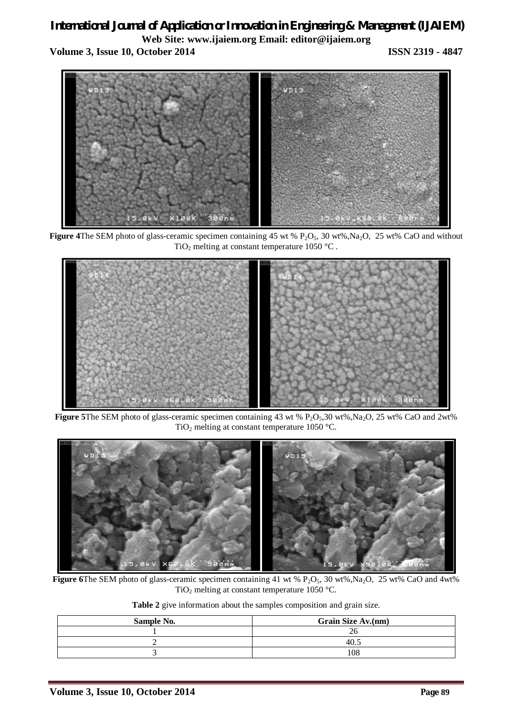# *International Journal of Application or Innovation in Engineering & Management (IJAIEM)* **Web Site: www.ijaiem.org Email: editor@ijaiem.org Volume 3, Issue 10, October 2014 ISSN 2319 - 4847**



**Figure 4The SEM photo of glass-ceramic specimen containing 45 wt % P<sub>2</sub>O<sub>5</sub>, 30 wt%,Na<sub>2</sub>O, 25 wt% CaO and without** TiO<sub>2</sub> melting at constant temperature 1050 °C.



**Figure 5The SEM photo of glass-ceramic specimen containing 43 wt %**  $P_2O_5$ **, 30 wt%, Na<sub>2</sub>O, 25 wt% CaO and 2wt%** TiO<sub>2</sub> melting at constant temperature 1050 °C.



**Figure 6The SEM photo of glass-ceramic specimen containing 41 wt % P<sub>2</sub>O<sub>5</sub>, 30 wt%,Na<sub>2</sub>O, 25 wt% CaO and 4wt%** TiO<sub>2</sub> melting at constant temperature 1050 °C.

**Table 2** give information about the samples composition and grain size.

| Sample No. | <b>Grain Size Av.(nm)</b> |  |
|------------|---------------------------|--|
|            |                           |  |
|            | $-40.1$                   |  |
|            | 108                       |  |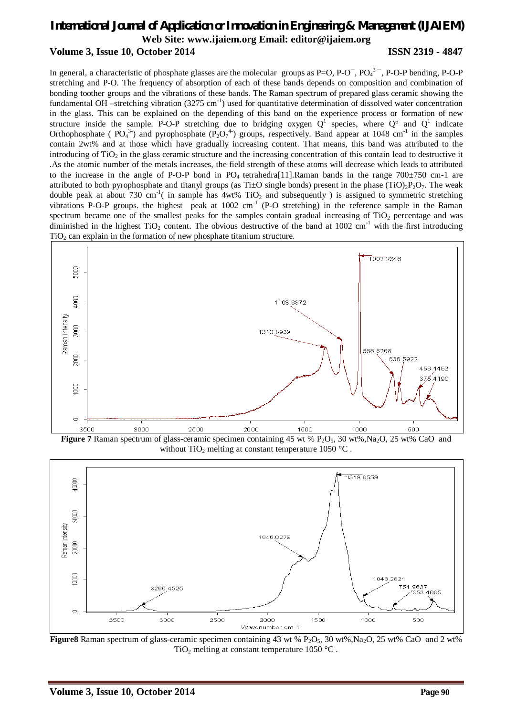## *International Journal of Application or Innovation in Engineering & Management (IJAIEM)* **Web Site: www.ijaiem.org Email: editor@ijaiem.org Volume 3, Issue 10, October 2014 ISSN 2319 - 4847**

In general, a characteristic of phosphate glasses are the molecular groups as  $P=O$ ,  $P-O^-$ ,  $PO_4^3$ ,  $P-O-P$  bending,  $P-O-P$ stretching and P-O. The frequency of absorption of each of these bands depends on composition and combination of bonding toother groups and the vibrations of these bands. The Raman spectrum of prepared glass ceramic showing the fundamental OH –stretching vibration  $(3275 \text{ cm}^{-1})$  used for quantitative determination of dissolved water concentration in the glass. This can be explained on the depending of this band on the experience process or formation of new structure inside the sample. P-O-P stretching due to bridging oxygen  $Q^1$  species, where  $Q^{\circ}$  and  $Q^1$  indicate Orthophosphate ( $PQ_4^{3}$ ) and pyrophosphate ( $P_2O_7^{4}$ ) groups, respectively. Band appear at 1048 cm<sup>-1</sup> in the samples contain 2wt% and at those which have gradually increasing content. That means, this band was attributed to the introducing of  $TiO<sub>2</sub>$  in the glass ceramic structure and the increasing concentration of this contain lead to destructive it .As the atomic number of the metals increases, the field strength of these atoms will decrease which leads to attributed to the increase in the angle of P-O-P bond in  $PQ_4$  tetrahedra[11].Raman bands in the range 700 $\pm$ 750 cm-1 are attributed to both pyrophosphate and titanyl groups (as Ti $\pm$ O single bonds) present in the phase (TiO)<sub>2</sub>P<sub>2</sub>O<sub>7</sub>. The weak double peak at about 730 cm<sup>-1</sup>( in sample has  $4wt\%$  TiO<sub>2</sub> and subsequently ) is assigned to symmetric stretching vibrations P-O-P groups. the highest peak at  $1002 \text{ cm}^{-1}$  (P-O stretching) in the reference sample in the Raman spectrum became one of the smallest peaks for the samples contain gradual increasing of  $TiO<sub>2</sub>$  percentage and was diminished in the highest  $TiO<sub>2</sub>$  content. The obvious destructive of the band at 1002 cm<sup>-1</sup> with the first introducing  $TiO<sub>2</sub>$  can explain in the formation of new phosphate titanium structure.



**Figure 7** Raman spectrum of glass-ceramic specimen containing 45 wt % P<sub>2</sub>O<sub>5</sub>, 30 wt%,Na<sub>2</sub>O, 25 wt% CaO and without TiO<sub>2</sub> melting at constant temperature 1050  $^{\circ}$ C.